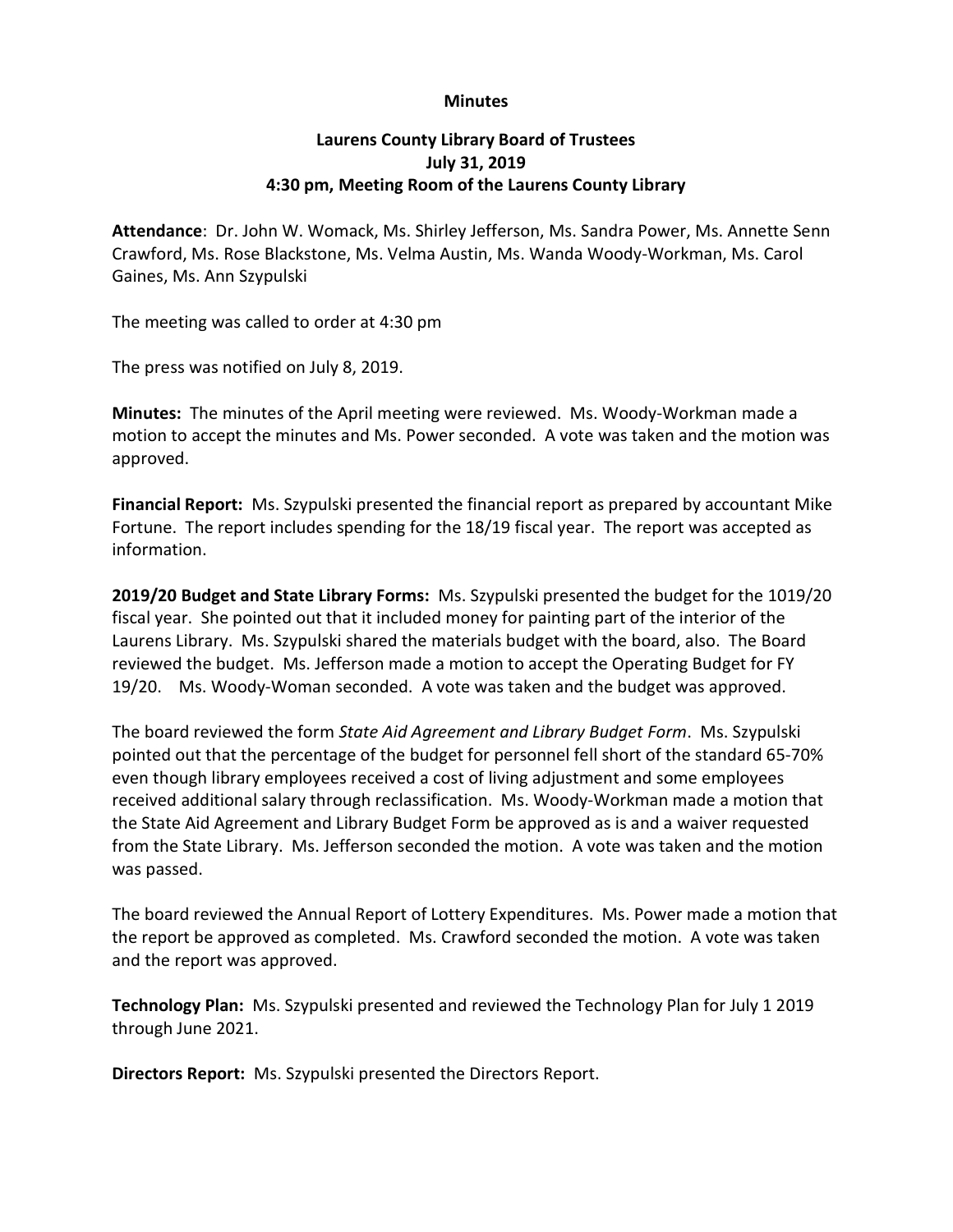## **Minutes**

## Laurens County Library Board of Trustees July 31, 2019 4:30 pm, Meeting Room of the Laurens County Library

Attendance: Dr. John W. Womack, Ms. Shirley Jefferson, Ms. Sandra Power, Ms. Annette Senn Crawford, Ms. Rose Blackstone, Ms. Velma Austin, Ms. Wanda Woody-Workman, Ms. Carol Gaines, Ms. Ann Szypulski

The meeting was called to order at 4:30 pm

The press was notified on July 8, 2019.

Minutes: The minutes of the April meeting were reviewed. Ms. Woody-Workman made a motion to accept the minutes and Ms. Power seconded. A vote was taken and the motion was approved.

Financial Report: Ms. Szypulski presented the financial report as prepared by accountant Mike Fortune. The report includes spending for the 18/19 fiscal year. The report was accepted as information.

2019/20 Budget and State Library Forms: Ms. Szypulski presented the budget for the 1019/20 fiscal year. She pointed out that it included money for painting part of the interior of the Laurens Library. Ms. Szypulski shared the materials budget with the board, also. The Board reviewed the budget. Ms. Jefferson made a motion to accept the Operating Budget for FY 19/20. Ms. Woody-Woman seconded. A vote was taken and the budget was approved.

The board reviewed the form State Aid Agreement and Library Budget Form. Ms. Szypulski pointed out that the percentage of the budget for personnel fell short of the standard 65-70% even though library employees received a cost of living adjustment and some employees received additional salary through reclassification. Ms. Woody-Workman made a motion that the State Aid Agreement and Library Budget Form be approved as is and a waiver requested from the State Library. Ms. Jefferson seconded the motion. A vote was taken and the motion was passed.

The board reviewed the Annual Report of Lottery Expenditures. Ms. Power made a motion that the report be approved as completed. Ms. Crawford seconded the motion. A vote was taken and the report was approved.

Technology Plan: Ms. Szypulski presented and reviewed the Technology Plan for July 1 2019 through June 2021.

Directors Report: Ms. Szypulski presented the Directors Report.